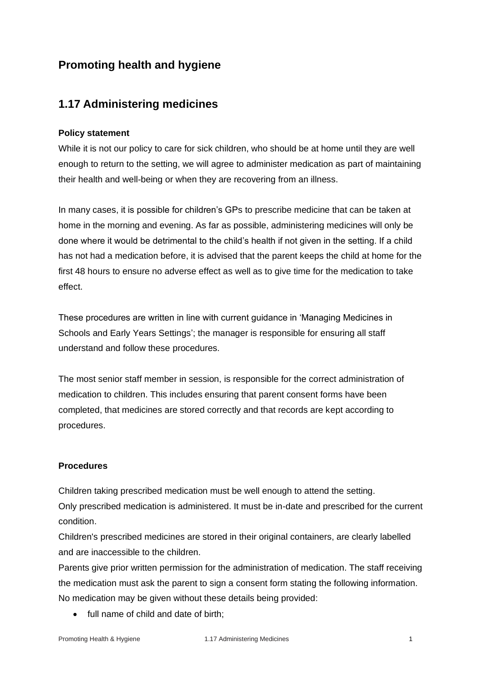# **Promoting health and hygiene**

### **1.17 Administering medicines**

#### **Policy statement**

While it is not our policy to care for sick children, who should be at home until they are well enough to return to the setting, we will agree to administer medication as part of maintaining their health and well-being or when they are recovering from an illness.

In many cases, it is possible for children's GPs to prescribe medicine that can be taken at home in the morning and evening. As far as possible, administering medicines will only be done where it would be detrimental to the child's health if not given in the setting. If a child has not had a medication before, it is advised that the parent keeps the child at home for the first 48 hours to ensure no adverse effect as well as to give time for the medication to take effect.

These procedures are written in line with current guidance in 'Managing Medicines in Schools and Early Years Settings'; the manager is responsible for ensuring all staff understand and follow these procedures.

The most senior staff member in session, is responsible for the correct administration of medication to children. This includes ensuring that parent consent forms have been completed, that medicines are stored correctly and that records are kept according to procedures.

#### **Procedures**

Children taking prescribed medication must be well enough to attend the setting. Only prescribed medication is administered. It must be in-date and prescribed for the current condition.

Children's prescribed medicines are stored in their original containers, are clearly labelled and are inaccessible to the children.

Parents give prior written permission for the administration of medication. The staff receiving the medication must ask the parent to sign a consent form stating the following information. No medication may be given without these details being provided:

• full name of child and date of birth;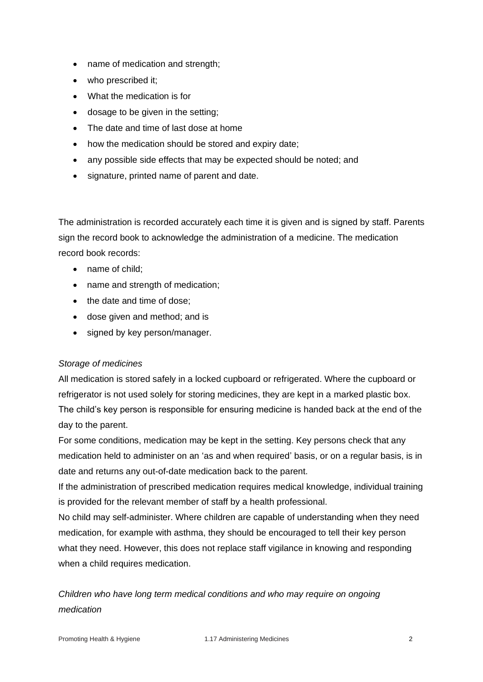- name of medication and strength;
- who prescribed it;
- What the medication is for
- dosage to be given in the setting;
- The date and time of last dose at home
- how the medication should be stored and expiry date;
- any possible side effects that may be expected should be noted; and
- signature, printed name of parent and date.

The administration is recorded accurately each time it is given and is signed by staff. Parents sign the record book to acknowledge the administration of a medicine. The medication record book records:

- name of child;
- name and strength of medication;
- the date and time of dose;
- dose given and method; and is
- signed by key person/manager.

#### *Storage of medicines*

All medication is stored safely in a locked cupboard or refrigerated. Where the cupboard or refrigerator is not used solely for storing medicines, they are kept in a marked plastic box. The child's key person is responsible for ensuring medicine is handed back at the end of the day to the parent.

For some conditions, medication may be kept in the setting. Key persons check that any medication held to administer on an 'as and when required' basis, or on a regular basis, is in date and returns any out-of-date medication back to the parent.

If the administration of prescribed medication requires medical knowledge, individual training is provided for the relevant member of staff by a health professional.

No child may self-administer. Where children are capable of understanding when they need medication, for example with asthma, they should be encouraged to tell their key person what they need. However, this does not replace staff vigilance in knowing and responding when a child requires medication.

## *Children who have long term medical conditions and who may require on ongoing medication*